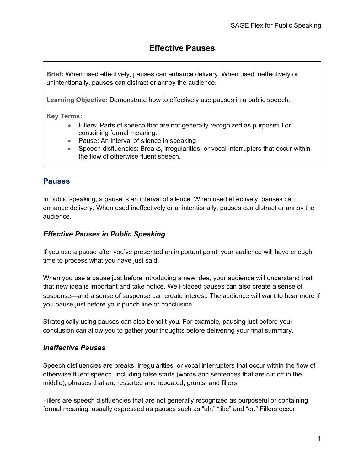# **Effective Pauses**

**Brief:** When used effectively, pauses can enhance delivery. When used ineffectively or unintentionally, pauses can distract or annoy the audience.

**Learning Objective:** Demonstrate how to effectively use pauses in a public speech.

**Key Terms:** 

- Fillers: Parts of speech that are not generally recognized as purposeful or containing formal meaning.
- Pause: An interval of silence in speaking.
- Speech disfluencies: Breaks, irregularities, or vocal interrupters that occur within the flow of otherwise fluent speech.

## **Pauses**

In public speaking, a pause is an interval of silence. When used effectively, pauses can enhance delivery. When used ineffectively or unintentionally, pauses can distract or annoy the audience.

#### *Effective Pauses in Public Speaking*

If you use a pause after you've presented an important point, your audience will have enough time to process what you have just said.

When you use a pause just before introducing a new idea, your audience will understand that that new idea is important and take notice. Well-placed pauses can also create a sense of suspense—and a sense of suspense can create interest. The audience will want to hear more if you pause just before your punch line or conclusion.

Strategically using pauses can also benefit you. For example, pausing just before your conclusion can allow you to gather your thoughts before delivering your final summary.

### *Ineffective Pauses*

Speech disfluencies are breaks, irregularities, or vocal interrupters that occur within the flow of otherwise fluent speech, including false starts (words and sentences that are cut off in the middle), phrases that are restarted and repeated, grunts, and fillers.

Fillers are speech disfluencies that are not generally recognized as purposeful or containing formal meaning, usually expressed as pauses such as "uh," "like" and "er." Fillers occur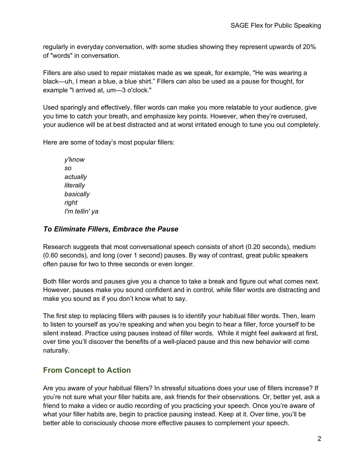regularly in everyday conversation, with some studies showing they represent upwards of 20% of "words" in conversation.

Fillers are also used to repair mistakes made as we speak, for example, "He was wearing a black—uh, I mean a blue, a blue shirt." Fillers can also be used as a pause for thought, for example "I arrived at, um—3 o'clock."

Used sparingly and effectively, filler words can make you more relatable to your audience, give you time to catch your breath, and emphasize key points. However, when they're overused, your audience will be at best distracted and at worst irritated enough to tune you out completely.

Here are some of today's most popular fillers:

*y'know so actually literally basically right I'm tellin' ya*

### *To Eliminate Fillers, Embrace the Pause*

Research suggests that most conversational speech consists of short (0.20 seconds), medium (0.60 seconds), and long (over 1 second) pauses. By way of contrast, great public speakers often pause for two to three seconds or even longer.

Both filler words and pauses give you a chance to take a break and figure out what comes next. However, pauses make you sound confident and in control, while filler words are distracting and make you sound as if you don't know what to say.

The first step to replacing fillers with pauses is to identify your habitual filler words. Then, learn to listen to yourself as you're speaking and when you begin to hear a filler, force yourself to be silent instead. Practice using pauses instead of filler words. While it might feel awkward at first, over time you'll discover the benefits of a well-placed pause and this new behavior will come naturally.

# **From Concept to Action**

Are you aware of your habitual fillers? In stressful situations does your use of fillers increase? If you're not sure what your filler habits are, ask friends for their observations. Or, better yet, ask a friend to make a video or audio recording of you practicing your speech. Once you're aware of what your filler habits are, begin to practice pausing instead. Keep at it. Over time, you'll be better able to consciously choose more effective pauses to complement your speech.